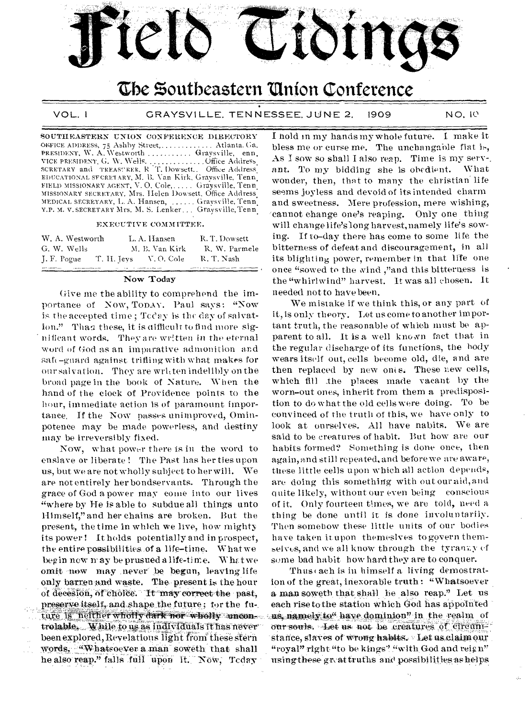

# The Southeastern Union Conference

VOL. I

GRAYSVILLE, TENNESSEE, JUNE 2, 1909 NO. 10

SOUTHEASTERN UNION CONFERENCE DIRECTORY OFFICE ADDRESS, 75 Ashby Street,............. Atlanta. Ga. PRESIDENT, W. A. Westworth .......... Graysville, enn. EDUCATIONAL SFCRETARY, M. B. Van Kirk, Gravsville, Tenn. FIELD MISSIONARY AGENT, V. O. Cole, ..... Graysville, Tenn MISSIONARY SECRETARY, Mrs. Helen Dowsett, Office Address MEDICAL SECRETARY, L. A. Hansen, ...... Graysville, Tenn. V.P. M. V. SECRETARY Mrs. M. S. Lenker... Graysville, Tenn

#### EXECUTIVE COMMITTEE.

| W. A. Westworth |             | L. A. Hansen   | R. T. Dowsett |
|-----------------|-------------|----------------|---------------|
| G. W. Wells     |             | M. B. Van Kirk | R. W. Parmele |
| J. F. Pogue     | T. II. Jeys | - V. O. Cole   | R. T. Nash    |

#### Now Today

Give me the ability to comprehend the importance of Now, Topay. Paul says: "Now is the accepted time; Tccay is the day of salvation." Than these, it is difficult to find more significant words. They are written in the eternal word of God as an imparative admonition and saft-guard against trifling with what makes for our salvation. They are written indelibly on the broad page in the book of Nature. When the hand of the clock of Providence points to the hour, immediate action is of paramount importance. If the Now passes unimproved, Ominpotence may be made powerless, and destiny may be irreversibly fixed.

Now, what power there is in the word to enslave or liberate! The Past has her ties upon us, but we are not wholly subject to her will. We are not entirely her bondservants. Through the grace of God a power may come into our lives "where by He is able to subdue all things unto Himself," and her chains are broken. But the present, the time in which we live, how mighty its power! It holds potentially and in prospect, the entire possibilities of a life-time. What we begin now may be prusued a life-time. What we omit now may never be begun, leaving life only barren and waste. The present is the hour of decesion, of choice. It may correct the past, preserve itself, and shape the future; for the future is neither wholly dark nor wholly uncontrolable. While to us as individuals it has never been explored, Revelations light from these stern words, "Whatsoever a man soweth that shall he also reap." falls full upon it. Now, Today

I hold in my hands my whole future. I make it bless me or curse me. The unchangable fiat is, As I sow so shall I also reap. Time is my serv-. ant. To my bidding she is obedient. What wonder, then, that to many the christian life seems joyless and devoid of its intended charm and sweetness. Mere profession, mere wishing, cannot change one's reaping. Only one thing will change life's long harvest, namely life's sowing. If to-day there has come to some life the bitterness of defeat and discouragement, in all its blighting power, remember in that life one once "sowed to the wind,"and this bitterness is the "whirlwind" harvest. It was all chosen. It needed not to have been.

We mistake if we think this, or any part of it, is only theory. Let us come to another important truth, the reasonable of which must be apparent to all. It is a well known fact that in the regular discharge of its functions, the body wears itself out, cells become old, die, and are then replaced by new onts. These new cells, which fill the places made vacant by the worn-out ones, inherit from them a predisposition to do what the old cells were doing. To be convinced of the truth of this, we have only to look at ourselves. All have nabits. We are said to be creatures of habit. But how are our habits formed? Something is done once, then again, and still repeated, and before we are aware, these little cells upon which all action depends, are doing this something with out our aid, and quite likely, without our even being conscious of it. Only fourteen times, we are told, need a thing be done until it is done involuntarily. Then somehow these little units of our bodies have taken it upon themesives to govern themselves, and we all know through the tyranay of some bad habit how hard they are to conquer.

Thus (ach is in himself a living demostration of the great, inexorable truth: "Whatsoever a man soweth that shall he also reap." Let us each rise to the station which God has appointed us, namely to" have dominion" in the realm of our souls. Let us not be creatures of circumstance, slaves of wrong habits. Let us claim our "royal" right "to be kings" "with God and reign" using these great truths and possibilities as helps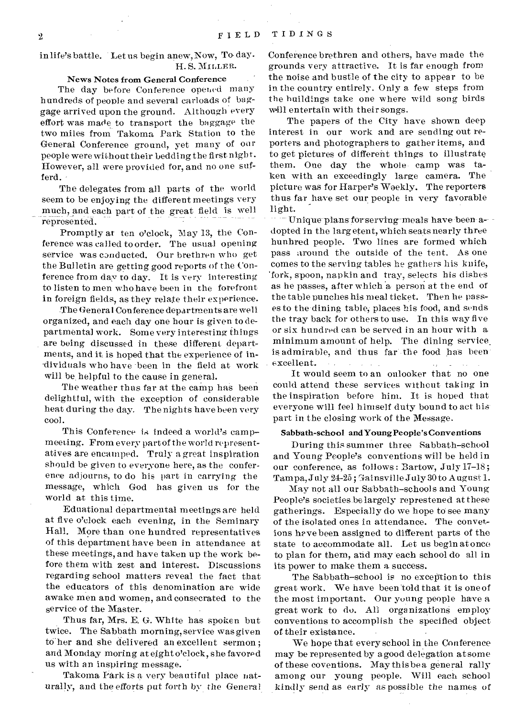### in life's battle. Let us begin anew, Now, To day. H.S. MILLER.

### News Notes from General Conference

The day before Conference opened many hundreds of people and several carloads of baggage arrived upon the ground. Although every effort was made to transport the baggage the two miles from Takoma Park Station to the General Conference ground, yet many of our people were without their bedding the first night. However, all were provided for, and no one sufferd.

The delegates from all parts of the world seem to be enjoying the different meetings very much, and each part of the great field is well represented.

Promptly at ten o'clock, May 13, the Conference was called to order. The usual opening service was conducted. Our brethren who get the Bulletin are getting good reports of the Conference from day to day. It is very interesting to listen to men who have been in the forefront in foreign fields, as they relate their experience.

The Genera I Conference departments are well organized, and each day one hour is given to departmental work. Some very interesting things are being discussed in these different departments, and it is hoped that the experience of individuals who have been in the field at work will be. helpful to the cause in general.

The weather thus far at the camp has been delightful, with the exception of considerable heat during the day. The nights have been very coo].

This Conference is indeed a world's camp meeting. From every part of the world representatives are encamped. Truly a great inspiration should be given to everyone here, as the conference adjourns, to do his part in carrying the message, which God has given us for the world at this time.

Eduational departmental meetings are held at five o'clock each evening, in the Seminary Hall. More than one hundred representatives of this department have been in attendance at these meetings, and have taken up the work before them with zest and interest. Discussions regarding school matters reveal the fact that the educators of this denomination are wide awake men and women, and consecrated to the service of the Master.

Thus far, Mrs. E. G. White has spoken but twice. The Sabbath morning, service wasgiven to her and she delivered an excellent sermon; and Monday moring at eight o'clock, she favored us with an inspiring message.

Takoma Park is a very beautiful place naturally, and the efforts put forth by the General

Conference brethren and others, have made the grounds very attractive. It is far enough from the noise and bustle of the city to appear to be in the country entirely. Only a few steps from the buildings take one where wild song birds will entertain with their songs.

The papers of the City have shown deep interest in our work and are sending out reporters and photographers to gather items, and to get pictures of different things to illustrate them. One day the whole camp was taken with an exceedingly large camera. The picture was for Harper's Woekly. The reporters thus far have set our people in very favorable light.

Unique plans for serving-meals have been a- $\,$ -dopted in the largetent, which seats nearly three hunhred people. Two lines are formed which pass around the outside of the tent. As one comes to the serving tables he gathers his knife, 'fork, spoon, napkin and tray, selects his dishes as he passes, after which a person at the end of the table punches his meal ticket. Then he passes to the dining table, places his food, and sends the tray back for others to use. In this way five or six hundred can be served in an hour with a minimum amount of help. The dining service. is admirable, and 'thus far the food has been. excellent.

It would seem to an onlooker that no one could attend these services without taking in the inspiration before him. It is hoped that everyone will feel himself duty bound to act his. part in the closing work of the Message.

### Sabbath-school and Young People's Conventions

During this summer three Sabbath—school and Young People's conventions will be held in our conference, as follows : Bartow, July 17-18; Tampa, July  $24-25$ ; Gainsville July 30 to August 1.

May not all our Sabbath—schools and Young People's societies be largely represtened at these gatherings. Especially do we hope to see many of the isolated ones in attendance. The convetions have been assigned to different parts of the state to accommodate all. Let us begin at once to plan for them, and may each school do all in its power to make them a success.

The Sabbath—school is no exception to this great work. We have been told that it is one of the most important. Our young people have a great work to do. All organizations employ conventions to accomplish the specified object

of. their existence. • We hope that every school in the Conference may be represented by agood delegation at some of these coventions. May thisbe a general rally among our young people. Will each school kindly send as early as possible the names of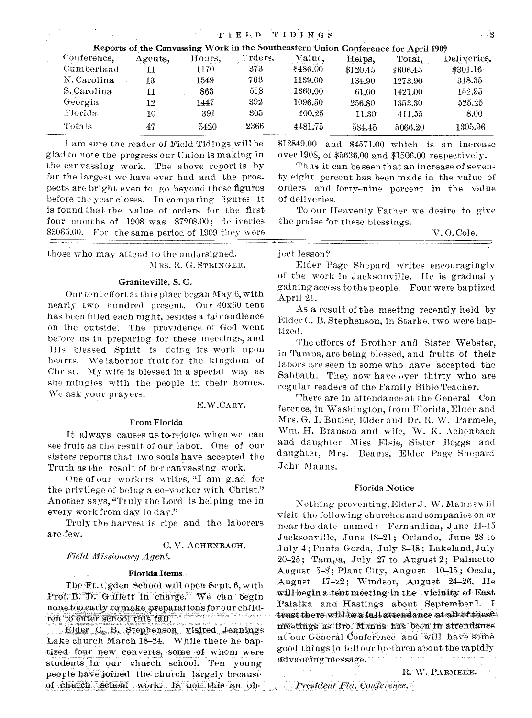| Reports of the Canvassing Work in the Southeastern Union Conference for April 1909 |         |        |         |          |          |          |             |
|------------------------------------------------------------------------------------|---------|--------|---------|----------|----------|----------|-------------|
| Conference,                                                                        | Agents, | Hours, | Trders. | Value,   | Helps.   | Total,   | Deliveries. |
| Cumberland                                                                         | 11      | 1170.  | 373     | \$486.00 | \$120.45 | \$606.45 | \$301.16    |
| N. Carolina                                                                        | 13      | 1549   | 763     | 1139.00  | 134.90   | 1273.90  | 318.35      |
| S. Carolina                                                                        | 11      | 863    | 5.8     | 1360.00  | 61.00    | 1421.00  | 152.95      |
| Georgia                                                                            | 12      | 1447   | 392     | 1096.50  | 256.80   | 1353.30  | 525.25      |
| Florida.                                                                           | 10      | 391    | 305     | 400.25   | 11.30    | 411.55   | 8.00        |
| Totals                                                                             | 47      | 5420   | 2366    | 4481.75  | 584.45   | 5066.20  | 1305.96     |

I am sure tne reader of Field Tidings will be glad to note the progress our Union is making in the canvassing work. The above report is by far the largest we have ever had and the prospects are bright even to go beyond these figures before the year closes. In comparing figures it is found that the value of orders for the first four months of 1908 was \$7208.00; deliveries \$3065.00. For the same period of 1909 they were

those who may attend to the undersigned. MRS. R. G. STRINGER.

### Graniteville, S. C.

Onr tent effort at this place began May 6, with nearly two hundred present. Our 40x60 tent has been filled each night, besides a fair audience on the outside: The providence of God went before us in preparing for these meetings, and His blessed Spirit is doing its work upon hearts. We labor for fruit for the kingdom of Christ. My wife is blessed in a special way as she mingles with the people in their homes. We ask your prayers.

### E.W.CARY.

### From Florida

It always causes us to rejoice when we can see fruit as the result of our labor. One of our sisters reports that two souls have accepted the Truth as the result of her canvassing work.

One of our workers writes, "I am glad for the privilege of being a co-worker with Christ," Another says, "Truly the Lord is helping me in every work from day to day."

Truly the harvest is ripe and the laborers are few.

# C. V. ACHENBACH.

*Field Missionary Agent.* 

### Florida Items

The  $Ft.$  egden School will open Sept. 6, with Prof. B. D. Gullett in charge. We can begin none too early to make preparations for our children to enter school this fall. ''Alle he said and

Elder C. B. Stephenson visited Jennings Lake church March 18-24. While there he baptized four new converts, some of whom were students in our church school. Ten young people have joined the church largely because of church school work. Is not this an ob\$12849.00 and \$4571.00 which is an increase over 1908, of \$5636.00 and \$1506.00 respectively.

Thus it can be seen that an increase of seven ty eight percent has been made in the value of orders and forty-nine percent in the value of deliveries.

To our Heavenly Father we desire to give the praise for these blessings.

V. 0. Cole.

ject lesson?

Elder Page Shepard writes encouragingly of the work in Jacksonville. He is gradually gaining access to the people. Four were baptized April 21.

As a result of the meeting recently held by Elder C. B. Stephenson, in Starke, two were baptized.

The efforts of Brother and Sister Webster, in Tampa, are being blessed, and fruits of their labors are seen in some who have accepted the Sabbath. They now have over thirty who are regular readers of the Family Bible Teacher.

There are in attendance at the General Con ference, in Washington, from Florida, Elder and Mrs. G. I. Butler, Elder and Dr. R. W. Parmele, Wm. H. Branson and wife, W. K. Achenbach and daughter Miss Elsie, Sister Boggs and daughter, Mrs. Beams, Elder Page Shepard John Manns.

### Florida Notice

Nothing preventing, Elder J. W. Mannswill visit the following churches and companies on or near the date named : Fernandina, June 11-15 Jacksonville, June 18-21; Orlando, June 28 to uly 4 ; Punta Gorda, July 8-18 ; Lakeland,July 20-25; Tampa, July 27 to August 2; Palmetto August 5-8; Plant City, August 10-15; Ocala, August  $17-22$ ; Windsor, August 24-26, He will begin a tent meeting in the vicinity of East Palatka and Hastings about September 1. I trust there will be a full attendance at all of these, meetings as Bro. Manns has been in attendanceat our General Conference and will have some good things to tell our brethren about the rapidly advaucing-message. -

President Fla. Conference.

IL **W., PARMEEr.** 

 $\sim 3$